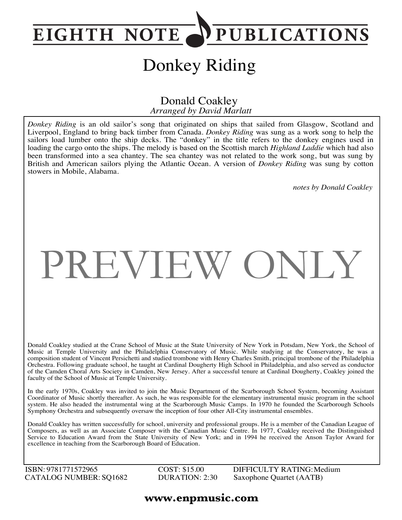### **PUBLICATIONS EIGHTH NOTE**

### Donkey Riding

### *Arranged by David Marlatt* Donald Coakley

*Donkey Riding* is an old sailor's song that originated on ships that sailed from Glasgow, Scotland and Liverpool, England to bring back timber from Canada. *Donkey Riding* was sung as a work song to help the sailors load lumber onto the ship decks. The "donkey" in the title refers to the donkey engines used in loading the cargo onto the ships. The melody is based on the Scottish march *Highland Laddie* which had also been transformed into a sea chantey. The sea chantey was not related to the work song, but was sung by British and American sailors plying the Atlantic Ocean. A version of *Donkey Riding* was sung by cotton stowers in Mobile, Alabama.

*notes by Donald Coakley*

## PREVIEW ONLY

Donald Coakley studied at the Crane School of Music at the State University of New York in Potsdam, New York, the School of Music at Temple University and the Philadelphia Conservatory of Music. While studying at the Conservatory, he was a composition student of Vincent Persichetti and studied trombone with Henry Charles Smith, principal trombone of the Philadelphia Orchestra. Following graduate school, he taught at Cardinal Dougherty High School in Philadelphia, and also served as conductor of the Camden Choral Arts Society in Camden, New Jersey. After a successful tenure at Cardinal Dougherty, Coakley joined the faculty of the School of Music at Temple University.

In the early 1970s, Coakley was invited to join the Music Department of the Scarborough School System, becoming Assistant Coordinator of Music shortly thereafter. As such, he was responsible for the elementary instrumental music program in the school system. He also headed the instrumental wing at the Scarborough Music Camps. In 1970 he founded the Scarborough Schools Symphony Orchestra and subsequently oversaw the inception of four other All-City instrumental ensembles.

Donald Coakley has written successfully for school, university and professional groups. He is a member of the Canadian League of Composers, as well as an Associate Composer with the Canadian Music Centre. In 1977, Coakley received the Distinguished Service to Education Award from the State University of New York; and in 1994 he received the Anson Taylor Award for excellence in teaching from the Scarborough Board of Education.

ISBN: 9781771572965 CATALOG NUMBER: SQ1682 COST: \$15.00 DURATION: 2:30 DIFFICULTY RATING:Medium Saxophone Quartet (AATB)

### **www.enpmusic.com**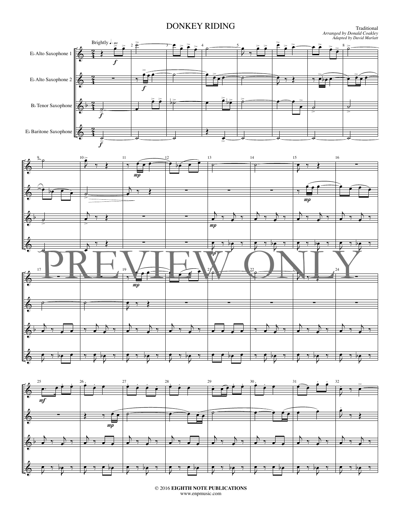#### DONKEY RIDING

*Arranged by Donald Coakley Adapted by David Marlatt*







© 2016 **EIGHTH NOTE PUBLICATIONS** www.enpmusic.com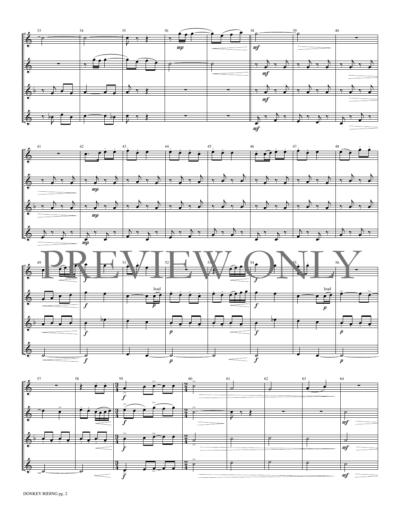







DONKEY RIDING pg. 2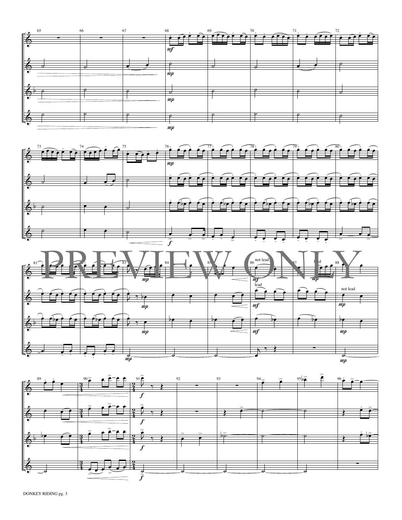





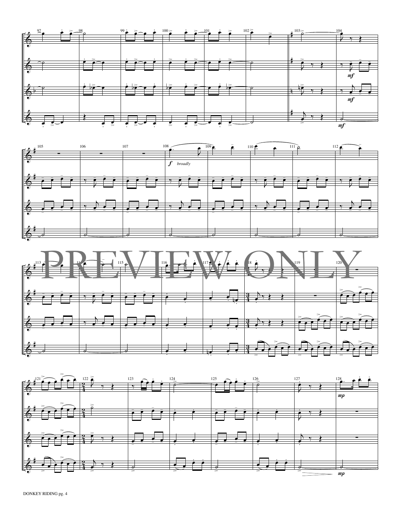







DONKEY RIDING pg. 4